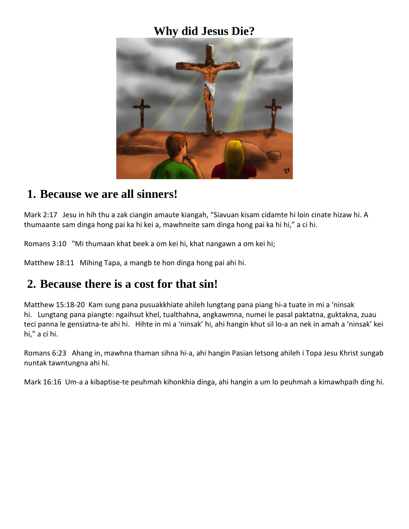### **Why did Jesus Die?**



#### **1. Because we are all sinners!**

Mark 2:17 Jesu in hih thu a zak ciangin amaute kiangah, "Siavuan kisam cidamte hi loin cinate hizaw hi. A thumaante sam dinga hong pai ka hi kei a, mawhneite sam dinga hong pai ka hi hi," a ci hi.

Romans 3:10 "Mi thumaan khat beek a om kei hi, khat nangawn a om kei hi;

Matthew 18:11 Mihing Tapa, a mangb te hon dinga hong pai ahi hi.

## **2. Because there is a cost for that sin!**

Matthew 15:18-20 Kam sung pana pusuakkhiate ahileh lungtang pana piang hi-a tuate in mi a 'ninsak hi. Lungtang pana piangte: ngaihsut khel, tualthahna, angkawmna, numei le pasal paktatna, guktakna, zuau teci panna le gensiatna-te ahi hi. Hihte in mi a 'ninsak' hi, ahi hangin khut sil lo-a an nek in amah a 'ninsak' kei hi," a ci hi.

Romans 6:23 Ahang in, mawhna thaman sihna hi-a, ahi hangin Pasian letsong ahileh i Topa Jesu Khrist sungab nuntak tawntungna ahi hi.

Mark 16:16 Um-a a kibaptise-te peuhmah kihonkhia dinga, ahi hangin a um lo peuhmah a kimawhpaih ding hi.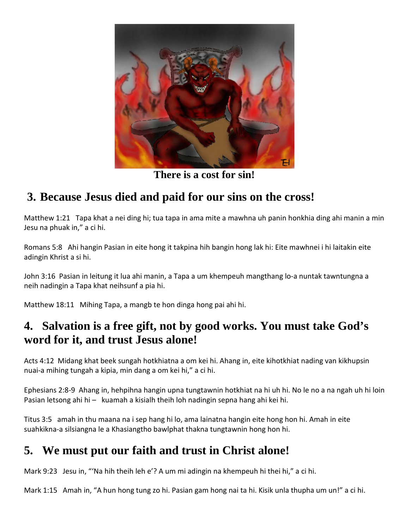

**There is a cost for sin!**

# **3. Because Jesus died and paid for our sins on the cross!**

Matthew 1:21 Tapa khat a nei ding hi; tua tapa in ama mite a mawhna uh panin honkhia ding ahi manin a min Jesu na phuak in," a ci hi.

Romans 5:8 Ahi hangin Pasian in eite hong it takpina hih bangin hong lak hi: Eite mawhnei i hi laitakin eite adingin Khrist a si hi.

John 3:16 Pasian in leitung it lua ahi manin, a Tapa a um khempeuh mangthang lo-a nuntak tawntungna a neih nadingin a Tapa khat neihsunf a pia hi.

Matthew 18:11 Mihing Tapa, a mangb te hon dinga hong pai ahi hi.

### **4. Salvation is a free gift, not by good works. You must take God's word for it, and trust Jesus alone!**

Acts 4:12 Midang khat beek sungah hotkhiatna a om kei hi. Ahang in, eite kihotkhiat nading van kikhupsin nuai-a mihing tungah a kipia, min dang a om kei hi," a ci hi.

Ephesians 2:8-9 Ahang in, hehpihna hangin upna tungtawnin hotkhiat na hi uh hi. No le no a na ngah uh hi loin Pasian letsong ahi hi – kuamah a kisialh theih loh nadingin sepna hang ahi kei hi.

Titus 3:5 amah in thu maana na i sep hang hi lo, ama lainatna hangin eite hong hon hi. Amah in eite suahkikna-a silsiangna le a Khasiangtho bawlphat thakna tungtawnin hong hon hi.

# **5. We must put our faith and trust in Christ alone!**

Mark 9:23 Jesu in, "'Na hih theih leh e'? A um mi adingin na khempeuh hi thei hi," a ci hi.

Mark 1:15 Amah in, "A hun hong tung zo hi. Pasian gam hong nai ta hi. Kisik unla thupha um un!" a ci hi.